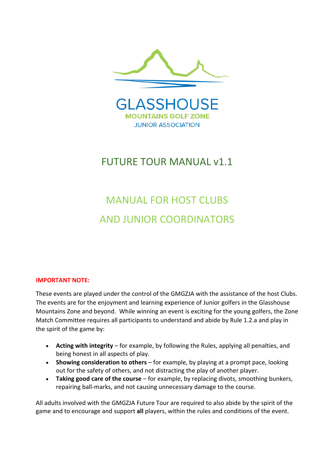

# FUTURE TOUR MANUAL v1.1

# MANUAL FOR HOST CLUBS AND JUNIOR COORDINATORS

#### **IMPORTANT NOTE:**

These events are played under the control of the GMGZJA with the assistance of the host Clubs. The events are for the enjoyment and learning experience of Junior golfers in the Glasshouse Mountains Zone and beyond. While winning an event is exciting for the young golfers, the Zone Match Committee requires all participants to understand and abide by Rule 1.2.a and play in the spirit of the game by:

- **Acting with integrity** for example, by following the Rules, applying all penalties, and being honest in all aspects of play.
- **Showing consideration to others** for example, by playing at a prompt pace, looking out for the safety of others, and not distracting the play of another player.
- **Taking good care of the course** for example, by replacing divots, smoothing bunkers, repairing ball-marks, and not causing unnecessary damage to the course.

All adults involved with the GMGZJA Future Tour are required to also abide by the spirit of the game and to encourage and support **all** players, within the rules and conditions of the event.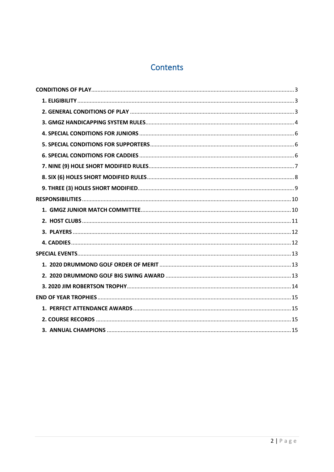# Contents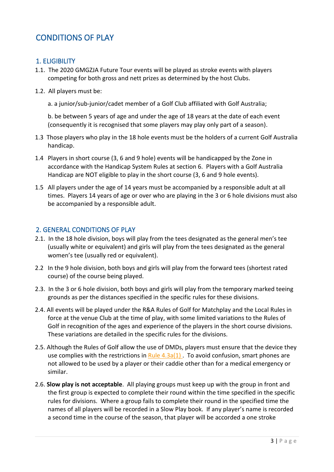# <span id="page-2-0"></span>CONDITIONS OF PLAY

#### <span id="page-2-1"></span>1. ELIGIBILITY

- 1.1. The 2020 GMGZJA Future Tour events will be played as stroke events with players competing for both gross and nett prizes as determined by the host Clubs.
- 1.2. All players must be:
	- a. a junior/sub-junior/cadet member of a Golf Club affiliated with Golf Australia;

b. be between 5 years of age and under the age of 18 years at the date of each event (consequently it is recognised that some players may play only part of a season).

- 1.3 Those players who play in the 18 hole events must be the holders of a current Golf Australia handicap.
- 1.4 Players in short course (3, 6 and 9 hole) events will be handicapped by the Zone in accordance with the Handicap System Rules at section 6. Players with a Golf Australia Handicap are NOT eligible to play in the short course (3, 6 and 9 hole events).
- 1.5 All players under the age of 14 years must be accompanied by a responsible adult at all times. Players 14 years of age or over who are playing in the 3 or 6 hole divisions must also be accompanied by a responsible adult.

#### <span id="page-2-2"></span>2. GENERAL CONDITIONS OF PLAY

- 2.1. In the 18 hole division, boys will play from the tees designated as the general men's tee (usually white or equivalent) and girls will play from the tees designated as the general women's tee (usually red or equivalent).
- 2.2 In the 9 hole division, both boys and girls will play from the forward tees (shortest rated course) of the course being played.
- 2.3. In the 3 or 6 hole division, both boys and girls will play from the temporary marked teeing grounds as per the distances specified in the specific rules for these divisions.
- 2.4. All events will be played under the R&A Rules of Golf for Matchplay and the Local Rules in force at the venue Club at the time of play, with some limited variations to the Rules of Golf in recognition of the ages and experience of the players in the short course divisions. These variations are detailed in the specific rules for the divisions.
- 2.5. Although the Rules of Golf allow the use of DMDs, players must ensure that the device they use complies with the restrictions in  $Rule 4.3a(1)$ . To avoid confusion, smart phones are not allowed to be used by a player or their caddie other than for a medical emergency or similar.
- 2.6. **Slow play is not acceptable**. All playing groups must keep up with the group in front and the first group is expected to complete their round within the time specified in the specific rules for divisions. Where a group fails to complete their round in the specified time the names of all players will be recorded in a Slow Play book. If any player's name is recorded a second time in the course of the season, that player will be accorded a one stroke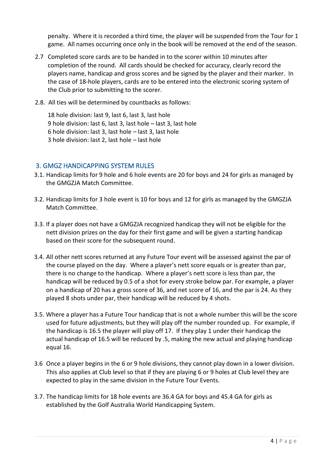penalty. Where it is recorded a third time, the player will be suspended from the Tour for 1 game. All names occurring once only in the book will be removed at the end of the season.

- 2.7 Completed score cards are to be handed in to the scorer within 10 minutes after completion of the round. All cards should be checked for accuracy, clearly record the players name, handicap and gross scores and be signed by the player and their marker. In the case of 18-hole players, cards are to be entered into the electronic scoring system of the Club prior to submitting to the scorer.
- 2.8. All ties will be determined by countbacks as follows:

18 hole division: last 9, last 6, last 3, last hole 9 hole division: last 6, last 3, last hole – last 3, last hole 6 hole division: last 3, last hole – last 3, last hole 3 hole division: last 2, last hole – last hole

#### <span id="page-3-0"></span>3. GMGZ HANDICAPPING SYSTEM RULES

- 3.1. Handicap limits for 9 hole and 6 hole events are 20 for boys and 24 for girls as managed by the GMGZJA Match Committee.
- 3.2. Handicap limits for 3 hole event is 10 for boys and 12 for girls as managed by the GMGZJA Match Committee.
- 3.3. If a player does not have a GMGZJA recognized handicap they will not be eligible for the nett division prizes on the day for their first game and will be given a starting handicap based on their score for the subsequent round.
- 3.4. All other nett scores returned at any Future Tour event will be assessed against the par of the course played on the day. Where a player's nett score equals or is greater than par, there is no change to the handicap. Where a player's nett score is less than par, the handicap will be reduced by 0.5 of a shot for every stroke below par. For example, a player on a handicap of 20 has a gross score of 36, and net score of 16, and the par is 24. As they played 8 shots under par, their handicap will be reduced by 4 shots.
- 3.5. Where a player has a Future Tour handicap that is not a whole number this will be the score used for future adjustments, but they will play off the number rounded up. For example, if the handicap is 16.5 the player will play off 17. If they play 1 under their handicap the actual handicap of 16.5 will be reduced by .5, making the new actual and playing handicap equal 16.
- 3.6 Once a player begins in the 6 or 9 hole divisions, they cannot play down in a lower division. This also applies at Club level so that if they are playing 6 or 9 holes at Club level they are expected to play in the same division in the Future Tour Events.
- 3.7. The handicap limits for 18 hole events are 36.4 GA for boys and 45.4 GA for girls as established by the Golf Australia World Handicapping System.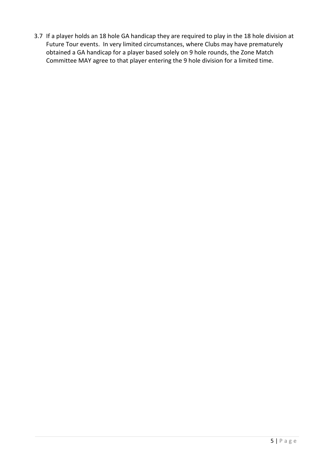3.7 If a player holds an 18 hole GA handicap they are required to play in the 18 hole division at Future Tour events. In very limited circumstances, where Clubs may have prematurely obtained a GA handicap for a player based solely on 9 hole rounds, the Zone Match Committee MAY agree to that player entering the 9 hole division for a limited time.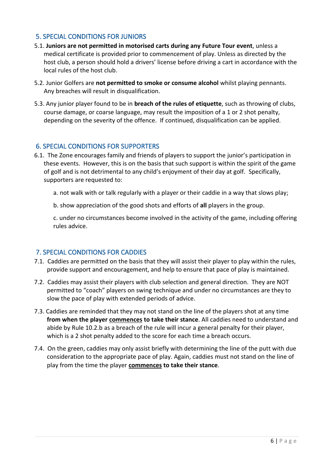#### <span id="page-5-0"></span>5. SPECIAL CONDITIONS FOR JUNIORS

- 5.1. **Juniors are not permitted in motorised carts during any Future Tour event**, unless a medical certificate is provided prior to commencement of play. Unless as directed by the host club, a person should hold a drivers' license before driving a cart in accordance with the local rules of the host club.
- 5.2. Junior Golfers are **not permitted to smoke or consume alcohol** whilst playing pennants. Any breaches will result in disqualification.
- 5.3. Any junior player found to be in **breach of the rules of etiquette**, such as throwing of clubs, course damage, or coarse language, may result the imposition of a 1 or 2 shot penalty, depending on the severity of the offence. If continued, disqualification can be applied.

#### <span id="page-5-1"></span>6. SPECIAL CONDITIONS FOR SUPPORTERS

- 6.1. The Zone encourages family and friends of players to support the junior's participation in these events. However, this is on the basis that such support is within the spirit of the game of golf and is not detrimental to any child's enjoyment of their day at golf. Specifically, supporters are requested to:
	- a. not walk with or talk regularly with a player or their caddie in a way that slows play;

b. show appreciation of the good shots and efforts of **all** players in the group.

c. under no circumstances become involved in the activity of the game, including offering rules advice.

## <span id="page-5-2"></span>7. SPECIAL CONDITIONS FOR CADDIES

- 7.1. Caddies are permitted on the basis that they will assist their player to play within the rules, provide support and encouragement, and help to ensure that pace of play is maintained.
- 7.2. Caddies may assist their players with club selection and general direction. They are NOT permitted to "coach" players on swing technique and under no circumstances are they to slow the pace of play with extended periods of advice.
- 7.3. Caddies are reminded that they may not stand on the line of the players shot at any time **from when the player commences to take their stance**. All caddies need to understand and abide by Rule 10.2.b as a breach of the rule will incur a general penalty for their player, which is a 2 shot penalty added to the score for each time a breach occurs.
- 7.4. On the green, caddies may only assist briefly with determining the line of the putt with due consideration to the appropriate pace of play. Again, caddies must not stand on the line of play from the time the player **commences to take their stance**.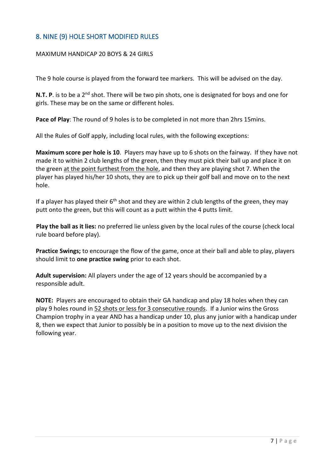# <span id="page-6-0"></span>8. NINE (9) HOLE SHORT MODIFIED RULES

#### MAXIMUM HANDICAP 20 BOYS & 24 GIRLS

The 9 hole course is played from the forward tee markers. This will be advised on the day.

**N.T. P**. is to be a 2<sup>nd</sup> shot. There will be two pin shots, one is designated for boys and one for girls. These may be on the same or different holes.

**Pace of Play**: The round of 9 holes is to be completed in not more than 2hrs 15mins.

All the Rules of Golf apply, including local rules, with the following exceptions:

**Maximum score per hole is 10**. Players may have up to 6 shots on the fairway. If they have not made it to within 2 club lengths of the green, then they must pick their ball up and place it on the green at the point furthest from the hole, and then they are playing shot 7. When the player has played his/her 10 shots, they are to pick up their golf ball and move on to the next hole.

If a player has played their  $6<sup>th</sup>$  shot and they are within 2 club lengths of the green, they may putt onto the green, but this will count as a putt within the 4 putts limit.

**Play the ball as it lies:** no preferred lie unless given by the local rules of the course (check local rule board before play).

**Practice Swings;** to encourage the flow of the game, once at their ball and able to play, players should limit to **one practice swing** prior to each shot.

**Adult supervision:** All players under the age of 12 years should be accompanied by a responsible adult.

**NOTE:** Players are encouraged to obtain their GA handicap and play 18 holes when they can play 9 holes round in 52 shots or less for 3 consecutive rounds. If a Junior wins the Gross Champion trophy in a year AND has a handicap under 10, plus any junior with a handicap under 8, then we expect that Junior to possibly be in a position to move up to the next division the following year.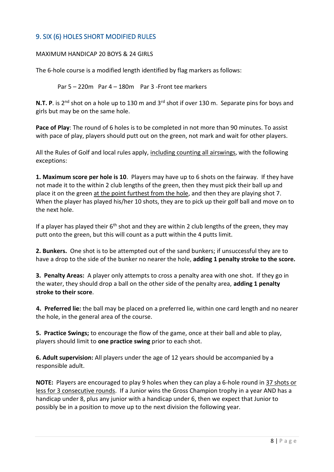# <span id="page-7-0"></span>9. SIX (6) HOLES SHORT MODIFIED RULES

#### MAXIMUM HANDICAP 20 BOYS & 24 GIRLS

The 6-hole course is a modified length identified by flag markers as follows:

Par 5 – 220m Par 4 – 180m Par 3 -Front tee markers

**N.T. P**. is 2<sup>nd</sup> shot on a hole up to 130 m and 3<sup>rd</sup> shot if over 130 m. Separate pins for boys and girls but may be on the same hole.

**Pace of Play**: The round of 6 holes is to be completed in not more than 90 minutes. To assist with pace of play, players should putt out on the green, not mark and wait for other players.

All the Rules of Golf and local rules apply, including counting all airswings, with the following exceptions:

**1. Maximum score per hole is 10**. Players may have up to 6 shots on the fairway. If they have not made it to the within 2 club lengths of the green, then they must pick their ball up and place it on the green at the point furthest from the hole, and then they are playing shot 7. When the player has played his/her 10 shots, they are to pick up their golf ball and move on to the next hole.

If a player has played their  $6<sup>th</sup>$  shot and they are within 2 club lengths of the green, they may putt onto the green, but this will count as a putt within the 4 putts limit.

**2. Bunkers.** One shot is to be attempted out of the sand bunkers; if unsuccessful they are to have a drop to the side of the bunker no nearer the hole, **adding 1 penalty stroke to the score.**

**3. Penalty Areas:** A player only attempts to cross a penalty area with one shot. If they go in the water, they should drop a ball on the other side of the penalty area, **adding 1 penalty stroke to their score**.

**4. Preferred lie:** the ball may be placed on a preferred lie, within one card length and no nearer the hole, in the general area of the course.

**5. Practice Swings;** to encourage the flow of the game, once at their ball and able to play, players should limit to **one practice swing** prior to each shot.

**6. Adult supervision:** All players under the age of 12 years should be accompanied by a responsible adult.

**NOTE:** Players are encouraged to play 9 holes when they can play a 6-hole round in 37 shots or less for 3 consecutive rounds. If a Junior wins the Gross Champion trophy in a year AND has a handicap under 8, plus any junior with a handicap under 6, then we expect that Junior to possibly be in a position to move up to the next division the following year.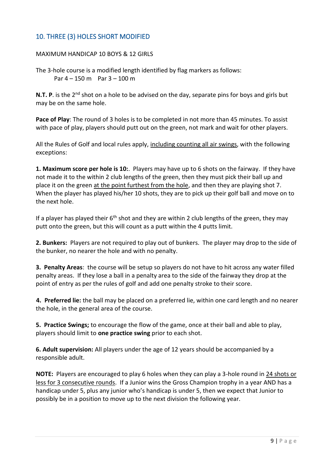# <span id="page-8-0"></span>10. THREE (3) HOLES SHORT MODIFIED

#### MAXIMUM HANDICAP 10 BOYS & 12 GIRLS

The 3-hole course is a modified length identified by flag markers as follows: Par  $4 - 150$  m Par  $3 - 100$  m

**N.T. P**. is the 2<sup>nd</sup> shot on a hole to be advised on the day, separate pins for boys and girls but may be on the same hole.

**Pace of Play**: The round of 3 holes is to be completed in not more than 45 minutes. To assist with pace of play, players should putt out on the green, not mark and wait for other players.

All the Rules of Golf and local rules apply, including counting all air swings, with the following exceptions:

**1. Maximum score per hole is 10:**. Players may have up to 6 shots on the fairway. If they have not made it to the within 2 club lengths of the green, then they must pick their ball up and place it on the green at the point furthest from the hole, and then they are playing shot 7. When the player has played his/her 10 shots, they are to pick up their golf ball and move on to the next hole.

If a player has played their  $6<sup>th</sup>$  shot and they are within 2 club lengths of the green, they may putt onto the green, but this will count as a putt within the 4 putts limit.

**2. Bunkers:** Players are not required to play out of bunkers. The player may drop to the side of the bunker, no nearer the hole and with no penalty.

**3. Penalty Areas**: the course will be setup so players do not have to hit across any water filled penalty areas. If they lose a ball in a penalty area to the side of the fairway they drop at the point of entry as per the rules of golf and add one penalty stroke to their score.

**4. Preferred lie:** the ball may be placed on a preferred lie, within one card length and no nearer the hole, in the general area of the course.

**5. Practice Swings;** to encourage the flow of the game, once at their ball and able to play, players should limit to **one practice swing** prior to each shot.

**6. Adult supervision:** All players under the age of 12 years should be accompanied by a responsible adult.

**NOTE:** Players are encouraged to play 6 holes when they can play a 3-hole round in 24 shots or less for 3 consecutive rounds. If a Junior wins the Gross Champion trophy in a year AND has a handicap under 5, plus any junior who's handicap is under 5, then we expect that Junior to possibly be in a position to move up to the next division the following year.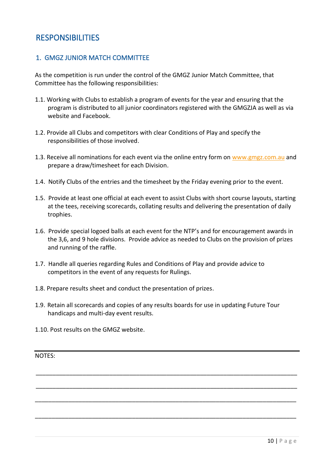# <span id="page-9-0"></span>RESPONSIBILITIES

## <span id="page-9-1"></span>1. GMGZ JUNIOR MATCH COMMITTEE

As the competition is run under the control of the GMGZ Junior Match Committee, that Committee has the following responsibilities:

- 1.1. Working with Clubs to establish a program of events for the year and ensuring that the program is distributed to all junior coordinators registered with the GMGZJA as well as via website and Facebook.
- 1.2. Provide all Clubs and competitors with clear Conditions of Play and specify the responsibilities of those involved.
- 1.3. Receive all nominations for each event via the online entry form on [www.gmgz.com.au](http://www.gmgz.com.au/) and prepare a draw/timesheet for each Division.
- 1.4. Notify Clubs of the entries and the timesheet by the Friday evening prior to the event.
- 1.5. Provide at least one official at each event to assist Clubs with short course layouts, starting at the tees, receiving scorecards, collating results and delivering the presentation of daily trophies.
- 1.6. Provide special logoed balls at each event for the NTP's and for encouragement awards in the 3,6, and 9 hole divisions. Provide advice as needed to Clubs on the provision of prizes and running of the raffle.
- 1.7. Handle all queries regarding Rules and Conditions of Play and provide advice to competitors in the event of any requests for Rulings.
- 1.8. Prepare results sheet and conduct the presentation of prizes.
- 1.9. Retain all scorecards and copies of any results boards for use in updating Future Tour handicaps and multi-day event results.

\_\_\_\_\_\_\_\_\_\_\_\_\_\_\_\_\_\_\_\_\_\_\_\_\_\_\_\_\_\_\_\_\_\_\_\_\_\_\_\_\_\_\_\_\_\_\_\_\_\_\_\_\_\_\_\_\_\_\_\_\_\_\_\_\_\_\_\_\_\_\_\_\_\_\_\_\_\_

\_\_\_\_\_\_\_\_\_\_\_\_\_\_\_\_\_\_\_\_\_\_\_\_\_\_\_\_\_\_\_\_\_\_\_\_\_\_\_\_\_\_\_\_\_\_\_\_\_\_\_\_\_\_\_\_\_\_\_\_\_\_\_\_\_\_\_\_\_\_\_\_\_\_\_\_\_\_

\_\_\_\_\_\_\_\_\_\_\_\_\_\_\_\_\_\_\_\_\_\_\_\_\_\_\_\_\_\_\_\_\_\_\_\_\_\_\_\_\_\_\_\_\_\_\_\_\_\_\_\_\_\_\_\_\_\_\_\_\_\_\_\_\_\_\_\_\_\_\_\_\_\_\_\_\_\_

\_\_\_\_\_\_\_\_\_\_\_\_\_\_\_\_\_\_\_\_\_\_\_\_\_\_\_\_\_\_\_\_\_\_\_\_\_\_\_\_\_\_\_\_\_\_\_\_\_\_\_\_\_\_\_\_\_\_\_\_\_\_\_\_\_\_\_\_\_\_\_\_\_\_\_\_\_\_

1.10. Post results on the GMGZ website.

NOTES: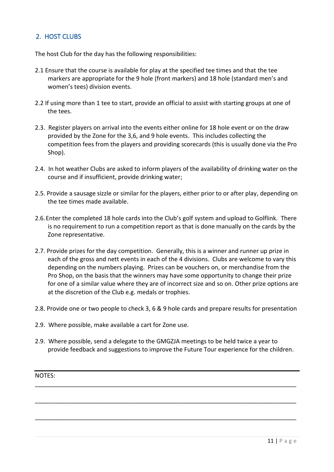# <span id="page-10-0"></span>2. HOST CLUBS

The host Club for the day has the following responsibilities:

- 2.1 Ensure that the course is available for play at the specified tee times and that the tee markers are appropriate for the 9 hole (front markers) and 18 hole (standard men's and women's tees) division events.
- 2.2 If using more than 1 tee to start, provide an official to assist with starting groups at one of the tees.
- 2.3. Register players on arrival into the events either online for 18 hole event or on the draw provided by the Zone for the 3,6, and 9 hole events. This includes collecting the competition fees from the players and providing scorecards (this is usually done via the Pro Shop).
- 2.4. In hot weather Clubs are asked to inform players of the availability of drinking water on the course and if insufficient, provide drinking water;
- 2.5. Provide a sausage sizzle or similar for the players, either prior to or after play, depending on the tee times made available.
- 2.6.Enter the completed 18 hole cards into the Club's golf system and upload to Golflink. There is no requirement to run a competition report as that is done manually on the cards by the Zone representative.
- 2.7. Provide prizes for the day competition. Generally, this is a winner and runner up prize in each of the gross and nett events in each of the 4 divisions. Clubs are welcome to vary this depending on the numbers playing. Prizes can be vouchers on, or merchandise from the Pro Shop, on the basis that the winners may have some opportunity to change their prize for one of a similar value where they are of incorrect size and so on. Other prize options are at the discretion of the Club e.g. medals or trophies.
- 2.8. Provide one or two people to check 3, 6 & 9 hole cards and prepare results for presentation
- 2.9. Where possible, make available a cart for Zone use.
- 2.9. Where possible, send a delegate to the GMGZJA meetings to be held twice a year to provide feedback and suggestions to improve the Future Tour experience for the children.

\_\_\_\_\_\_\_\_\_\_\_\_\_\_\_\_\_\_\_\_\_\_\_\_\_\_\_\_\_\_\_\_\_\_\_\_\_\_\_\_\_\_\_\_\_\_\_\_\_\_\_\_\_\_\_\_\_\_\_\_\_\_\_\_\_\_\_\_\_\_\_\_\_\_\_\_\_\_

\_\_\_\_\_\_\_\_\_\_\_\_\_\_\_\_\_\_\_\_\_\_\_\_\_\_\_\_\_\_\_\_\_\_\_\_\_\_\_\_\_\_\_\_\_\_\_\_\_\_\_\_\_\_\_\_\_\_\_\_\_\_\_\_\_\_\_\_\_\_\_\_\_\_\_\_\_\_

\_\_\_\_\_\_\_\_\_\_\_\_\_\_\_\_\_\_\_\_\_\_\_\_\_\_\_\_\_\_\_\_\_\_\_\_\_\_\_\_\_\_\_\_\_\_\_\_\_\_\_\_\_\_\_\_\_\_\_\_\_\_\_\_\_\_\_\_\_\_\_\_\_\_\_\_\_\_

NOTES: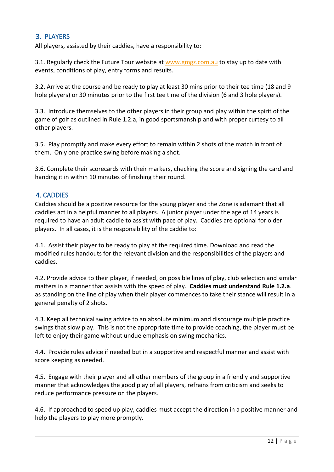## <span id="page-11-0"></span>3. PLAYERS

All players, assisted by their caddies, have a responsibility to:

3.1. Regularly check the Future Tour website at [www.gmgz.com.au](http://www.gmgz.com.au/) to stay up to date with events, conditions of play, entry forms and results.

3.2. Arrive at the course and be ready to play at least 30 mins prior to their tee time (18 and 9 hole players) or 30 minutes prior to the first tee time of the division (6 and 3 hole players).

3.3. Introduce themselves to the other players in their group and play within the spirit of the game of golf as outlined in Rule 1.2.a, in good sportsmanship and with proper curtesy to all other players.

3.5. Play promptly and make every effort to remain within 2 shots of the match in front of them. Only one practice swing before making a shot.

3.6. Complete their scorecards with their markers, checking the score and signing the card and handing it in within 10 minutes of finishing their round.

# <span id="page-11-1"></span>4. CADDIES

Caddies should be a positive resource for the young player and the Zone is adamant that all caddies act in a helpful manner to all players. A junior player under the age of 14 years is required to have an adult caddie to assist with pace of play. Caddies are optional for older players. In all cases, it is the responsibility of the caddie to:

4.1. Assist their player to be ready to play at the required time. Download and read the modified rules handouts for the relevant division and the responsibilities of the players and caddies.

4.2. Provide advice to their player, if needed, on possible lines of play, club selection and similar matters in a manner that assists with the speed of play. **Caddies must understand Rule 1.2.a**. as standing on the line of play when their player commences to take their stance will result in a general penalty of 2 shots.

4.3. Keep all technical swing advice to an absolute minimum and discourage multiple practice swings that slow play. This is not the appropriate time to provide coaching, the player must be left to enjoy their game without undue emphasis on swing mechanics.

4.4. Provide rules advice if needed but in a supportive and respectful manner and assist with score keeping as needed.

4.5. Engage with their player and all other members of the group in a friendly and supportive manner that acknowledges the good play of all players, refrains from criticism and seeks to reduce performance pressure on the players.

4.6. If approached to speed up play, caddies must accept the direction in a positive manner and help the players to play more promptly.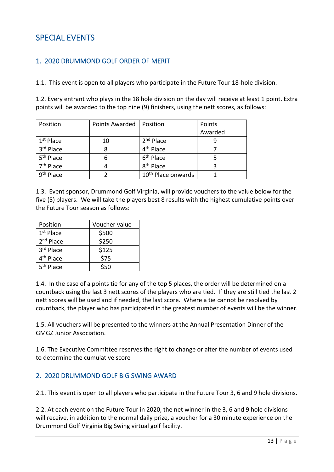# <span id="page-12-0"></span>SPECIAL EVENTS

### <span id="page-12-1"></span>1. 2020 DRUMMOND GOLF ORDER OF MERIT

1.1. This event is open to all players who participate in the Future Tour 18-hole division.

1.2. Every entrant who plays in the 18 hole division on the day will receive at least 1 point. Extra points will be awarded to the top nine (9) finishers, using the nett scores, as follows:

| Position              | Points Awarded | Position                       | Points  |
|-----------------------|----------------|--------------------------------|---------|
|                       |                |                                | Awarded |
| $1st$ Place           | 10             | $2nd$ Place                    |         |
| 3rd Place             | 8              | 4 <sup>th</sup> Place          |         |
| 5 <sup>th</sup> Place | 6              | 6 <sup>th</sup> Place          |         |
| 7 <sup>th</sup> Place |                | 8 <sup>th</sup> Place          |         |
| 9 <sup>th</sup> Place |                | 10 <sup>th</sup> Place onwards |         |

1.3. Event sponsor, Drummond Golf Virginia, will provide vouchers to the value below for the five (5) players. We will take the players best 8 results with the highest cumulative points over the Future Tour season as follows:

| Position              | Voucher value |
|-----------------------|---------------|
| $1st$ Place           | \$500         |
| 2 <sup>nd</sup> Place | \$250         |
| 3rd Place             | \$125         |
| 4 <sup>th</sup> Place | \$75          |
| 5 <sup>th</sup> Place | \$50          |

1.4. In the case of a points tie for any of the top 5 places, the order will be determined on a countback using the last 3 nett scores of the players who are tied. If they are still tied the last 2 nett scores will be used and if needed, the last score. Where a tie cannot be resolved by countback, the player who has participated in the greatest number of events will be the winner.

1.5. All vouchers will be presented to the winners at the Annual Presentation Dinner of the GMGZ Junior Association.

1.6. The Executive Committee reserves the right to change or alter the number of events used to determine the cumulative score

## <span id="page-12-2"></span>2. 2020 DRUMMOND GOLF BIG SWING AWARD

2.1. This event is open to all players who participate in the Future Tour 3, 6 and 9 hole divisions.

2.2. At each event on the Future Tour in 2020, the net winner in the 3, 6 and 9 hole divisions will receive, in addition to the normal daily prize, a voucher for a 30 minute experience on the Drummond Golf Virginia Big Swing virtual golf facility.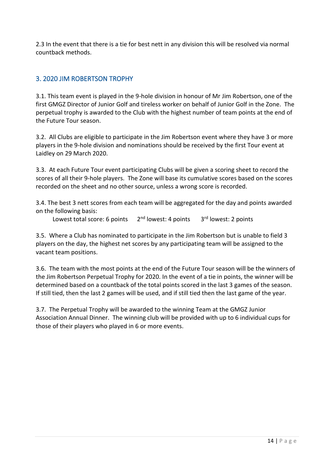2.3 In the event that there is a tie for best nett in any division this will be resolved via normal countback methods.

# <span id="page-13-0"></span>3. 2020 JIM ROBERTSON TROPHY

3.1. This team event is played in the 9-hole division in honour of Mr Jim Robertson, one of the first GMGZ Director of Junior Golf and tireless worker on behalf of Junior Golf in the Zone. The perpetual trophy is awarded to the Club with the highest number of team points at the end of the Future Tour season.

3.2. All Clubs are eligible to participate in the Jim Robertson event where they have 3 or more players in the 9-hole division and nominations should be received by the first Tour event at Laidley on 29 March 2020.

3.3. At each Future Tour event participating Clubs will be given a scoring sheet to record the scores of all their 9-hole players. The Zone will base its cumulative scores based on the scores recorded on the sheet and no other source, unless a wrong score is recorded.

3.4. The best 3 nett scores from each team will be aggregated for the day and points awarded on the following basis:

Lowest total score: 6 points  $2<sup>nd</sup>$  lowest: 4 points  $3<sup>rd</sup>$  lowest: 2 points

3.5. Where a Club has nominated to participate in the Jim Robertson but is unable to field 3 players on the day, the highest net scores by any participating team will be assigned to the vacant team positions.

3.6. The team with the most points at the end of the Future Tour season will be the winners of the Jim Robertson Perpetual Trophy for 2020. In the event of a tie in points, the winner will be determined based on a countback of the total points scored in the last 3 games of the season. If still tied, then the last 2 games will be used, and if still tied then the last game of the year.

3.7. The Perpetual Trophy will be awarded to the winning Team at the GMGZ Junior Association Annual Dinner. The winning club will be provided with up to 6 individual cups for those of their players who played in 6 or more events.